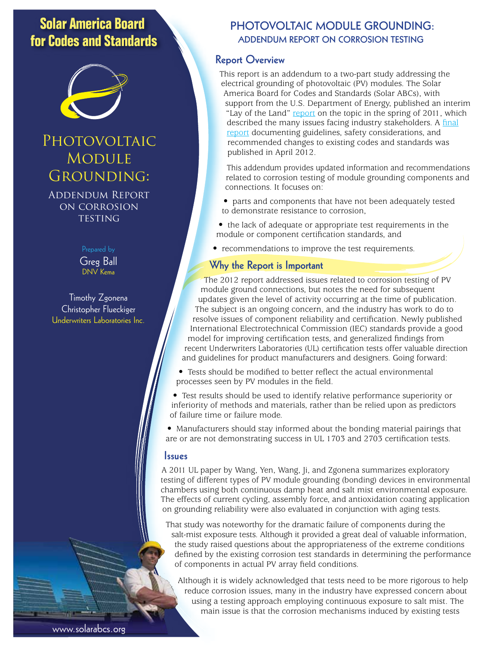## **Solar America Board for Codes and Standards**



# **PHOTOVOLTAIC MODULE** GROUNDING:

Addendum Report on corrosion **TESTING** 

Prepared by

Greg Ball DNV Kema

Timothy Zgonena Christopher Flueckiger Underwriters Laboratories Inc.

## **PHOTOVOLTAIC MODULE GROUNDING: ADDENDUM REPORT ON CORROSION TESTING**

## **Report Overview**

This report is an addendum to a two-part study addressing the electrical grounding of photovoltaic (PV) modules. The Solar America Board for Codes and Standards (Solar ABCs), with support from the U.S. Department of Energy, published an interim "Lay of the Land" [report](http://www.solarabcs.org/about/publications/reports/module-grounding/) on the topic in the spring of 2011, which described the many issues facing industry stakeholders. A [final](http://www.solarabcs.org/about/publications/reports/module-grounding/) [report](http://www.solarabcs.org/about/publications/reports/module-grounding/) documenting guidelines, safety considerations, and recommended changes to existing codes and standards was published in April 2012.

This addendum provides updated information and recommendations related to corrosion testing of module grounding components and connections. It focuses on:

• parts and components that have not been adequately tested to demonstrate resistance to corrosion,

• the lack of adequate or appropriate test requirements in the module or component certification standards, and

• recommendations to improve the test requirements.

### **Why the Report is Important**

The 2012 report addressed issues related to corrosion testing of PV module ground connections, but notes the need for subsequent updates given the level of activity occurring at the time of publication. The subject is an ongoing concern, and the industry has work to do to resolve issues of component reliability and certification. Newly published International Electrotechnical Commission (IEC) standards provide a good model for improving certification tests, and generalized findings from recent Underwriters Laboratories (UL) certification tests offer valuable direction and guidelines for product manufacturers and designers. Going forward:

• Tests should be modified to better reflect the actual environmental processes seen by PV modules in the field.

• Test results should be used to identify relative performance superiority or inferiority of methods and materials, rather than be relied upon as predictors of failure time or failure mode.

• Manufacturers should stay informed about the bonding material pairings that are or are not demonstrating success in UL 1703 and 2703 certification tests.

#### **Issues**

A 2011 UL paper by Wang, Yen, Wang, Ji, and Zgonena summarizes exploratory testing of different types of PV module grounding (bonding) devices in environmental chambers using both continuous damp heat and salt mist environmental exposure. The effects of current cycling, assembly force, and antioxidation coating application on grounding reliability were also evaluated in conjunction with aging tests.

That study was noteworthy for the dramatic failure of components during the salt-mist exposure tests. Although it provided a great deal of valuable information, the study raised questions about the appropriateness of the extreme conditions defined by the existing corrosion test standards in determining the performance of components in actual PV array field conditions.

Although it is widely acknowledged that tests need to be more rigorous to help reduce corrosion issues, many in the industry have expressed concern about using a testing approach employing continuous exposure to salt mist. The main issue is that the corrosion mechanisms induced by existing tests